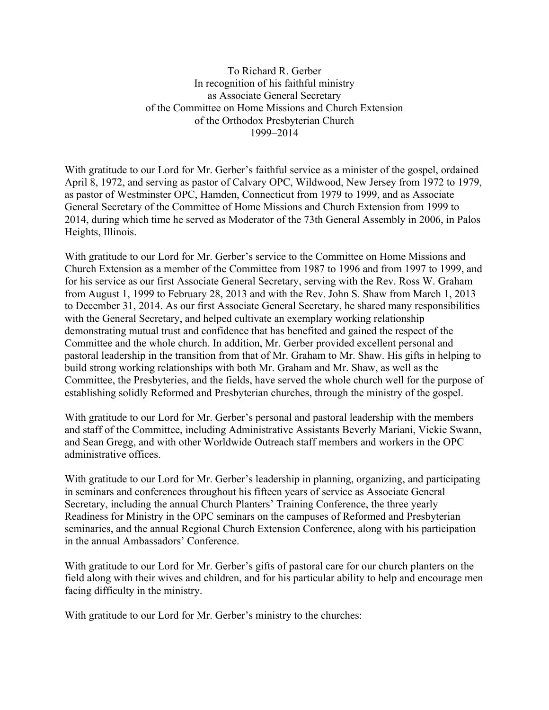To Richard R. Gerber In recognition of his faithful ministry as Associate General Secretary of the Committee on Home Missions and Church Extension of the Orthodox Presbyterian Church 1999–2014

With gratitude to our Lord for Mr. Gerber's faithful service as a minister of the gospel, ordained April 8, 1972, and serving as pastor of Calvary OPC, Wildwood, New Jersey from 1972 to 1979, as pastor of Westminster OPC, Hamden, Connecticut from 1979 to 1999, and as Associate General Secretary of the Committee of Home Missions and Church Extension from 1999 to 2014, during which time he served as Moderator of the 73th General Assembly in 2006, in Palos Heights, Illinois.

With gratitude to our Lord for Mr. Gerber's service to the Committee on Home Missions and Church Extension as a member of the Committee from 1987 to 1996 and from 1997 to 1999, and for his service as our first Associate General Secretary, serving with the Rev. Ross W. Graham from August 1, 1999 to February 28, 2013 and with the Rev. John S. Shaw from March 1, 2013 to December 31, 2014. As our first Associate General Secretary, he shared many responsibilities with the General Secretary, and helped cultivate an exemplary working relationship demonstrating mutual trust and confidence that has benefited and gained the respect of the Committee and the whole church. In addition, Mr. Gerber provided excellent personal and pastoral leadership in the transition from that of Mr. Graham to Mr. Shaw. His gifts in helping to build strong working relationships with both Mr. Graham and Mr. Shaw, as well as the Committee, the Presbyteries, and the fields, have served the whole church well for the purpose of establishing solidly Reformed and Presbyterian churches, through the ministry of the gospel.

With gratitude to our Lord for Mr. Gerber's personal and pastoral leadership with the members and staff of the Committee, including Administrative Assistants Beverly Mariani, Vickie Swann, and Sean Gregg, and with other Worldwide Outreach staff members and workers in the OPC administrative offices.

With gratitude to our Lord for Mr. Gerber's leadership in planning, organizing, and participating in seminars and conferences throughout his fifteen years of service as Associate General Secretary, including the annual Church Planters' Training Conference, the three yearly Readiness for Ministry in the OPC seminars on the campuses of Reformed and Presbyterian seminaries, and the annual Regional Church Extension Conference, along with his participation in the annual Ambassadors' Conference.

With gratitude to our Lord for Mr. Gerber's gifts of pastoral care for our church planters on the field along with their wives and children, and for his particular ability to help and encourage men facing difficulty in the ministry.

With gratitude to our Lord for Mr. Gerber's ministry to the churches: